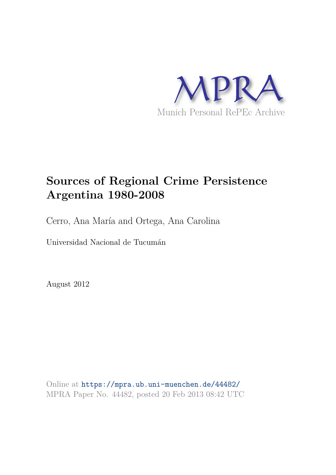

# **Sources of Regional Crime Persistence Argentina 1980-2008**

Cerro, Ana María and Ortega, Ana Carolina

Universidad Nacional de Tucumán

August 2012

Online at https://mpra.ub.uni-muenchen.de/44482/ MPRA Paper No. 44482, posted 20 Feb 2013 08:42 UTC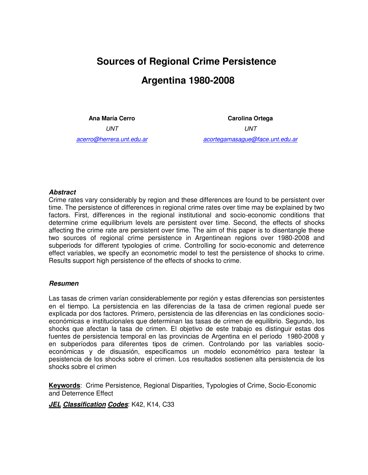# **Sources of Regional Crime Persistence Argentina 1980-2008**

**Ana María Cerro** UNT acerro@herrera.unt.edu.ar

**Carolina Ortega**  UNT acortegamasague@face.unt.edu.ar

#### *Abstract*

Crime rates vary considerably by region and these differences are found to be persistent over time. The persistence of differences in regional crime rates over time may be explained by two factors. First, differences in the regional institutional and socio-economic conditions that determine crime equilibrium levels are persistent over time. Second, the effects of shocks affecting the crime rate are persistent over time. The aim of this paper is to disentangle these two sources of regional crime persistence in Argentinean regions over 1980-2008 and subperiods for different typologies of crime. Controlling for socio-economic and deterrence effect variables, we specify an econometric model to test the persistence of shocks to crime. Results support high persistence of the effects of shocks to crime.

#### *Resumen*

Las tasas de crimen varían considerablemente por región y estas diferencias son persistentes en el tiempo. La persistencia en las diferencias de la tasa de crimen regional puede ser explicada por dos factores. Primero, persistencia de las diferencias en las condiciones socioeconómicas e institucionales que determinan las tasas de crimen de equilibrio. Segundo, los shocks que afectan la tasa de crimen. El objetivo de este trabajo es distinguir estas dos fuentes de persistencia temporal en las provincias de Argentina en el período 1980-2008 y en subperíodos para diferentes tipos de crimen. Controlando por las variables socioeconómicas y de disuasión, especificamos un modelo econométrico para testear la pesistencia de los shocks sobre el crimen. Los resultados sostienen alta persistencia de los shocks sobre el crimen

**Keywords**: Crime Persistence, Regional Disparities, Typologies of Crime, Socio-Economic and Deterrence Effect

*JEL Classification Codes*: K42, K14, C33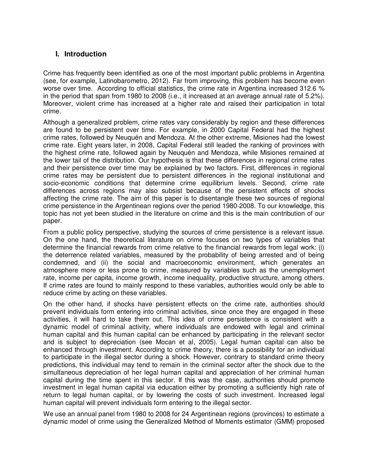## **I. Introduction**

Crime has frequently been identified as one of the most important public problems in Argentina (see, for example, Latinobarometro, 2012). Far from improving, this problem has become even worse over time. According to official statistics, the crime rate in Argentina increased 312.6 % in the period that span from 1980 to 2008 (i.e., it increased at an average annual rate of 5.2%). Moreover, violent crime has increased at a higher rate and raised their participation in total crime.

Although a generalized problem, crime rates vary considerably by region and these differences are found to be persistent over time. For example, in 2000 Capital Federal had the highest crime rates, followed by Neuquén and Mendoza. At the other extreme, Misiones had the lowest crime rate. Eight years later, in 2008, Capital Federal still leaded the ranking of provinces with the highest crime rate, followed again by Neuquén and Mendoza, while Misiones remained at the lower tail of the distribution. Our hypothesis is that these differences in regional crime rates and their persistence over time may be explained by two factors. First, differences in regional crime rates may be persistent due to persistent differences in the regional institutional and socio-economic conditions that determine crime equilibrium levels. Second, crime rate differences across regions may also subsist because of the persistent effects of shocks affecting the crime rate. The aim of this paper is to disentangle these two sources of regional crime persistence in the Argentinean regions over the period 1980-2008. To our knowledge, this topic has not yet been studied in the literature on crime and this is the main contribution of our paper.

From a public policy perspective, studying the sources of crime persistence is a relevant issue. On the one hand, the theoretical literature on crime focuses on two types of variables that determine the financial rewards from crime relative to the financial rewards from legal work: (i) the deterrence related variables, measured by the probability of being arrested and of being condemned, and (ii) the social and macroeconomic environment, which generates an atmosphere more or less prone to crime, measured by variables such as the unemployment rate, income per capita, income growth, income inequality, productive structure, among others. If crime rates are found to mainly respond to these variables, authorities would only be able to reduce crime by acting on these variables.

On the other hand, if shocks have persistent effects on the crime rate, authorities should prevent individuals form entering into criminal activities, since once they are engaged in these activities, it will hard to take them out. This idea of crime persistence is consistent with a dynamic model of criminal activity, where individuals are endowed with legal and criminal human capital and this human capital can be enhanced by participating in the relevant sector and is subject to depreciation (see Mocan et al, 2005). Legal human capital can also be enhanced through investment. According to crime theory, there is a possibility for an individual to participate in the illegal sector during a shock. However, contrary to standard crime theory predictions, this individual may tend to remain in the criminal sector after the shock due to the simultaneous depreciation of her legal human capital and appreciation of her criminal human capital during the time spent in this sector. If this was the case, authorities should promote investment in legal human capital via education either by promoting a sufficiently high rate of return to legal human capital, or by lowering the costs of such investment. Increased legal human capital will prevent individuals form entering to the illegal sector.

We use an annual panel from 1980 to 2008 for 24 Argentinean regions (provinces) to estimate a dynamic model of crime using the Generalized Method of Moments estimator (GMM) proposed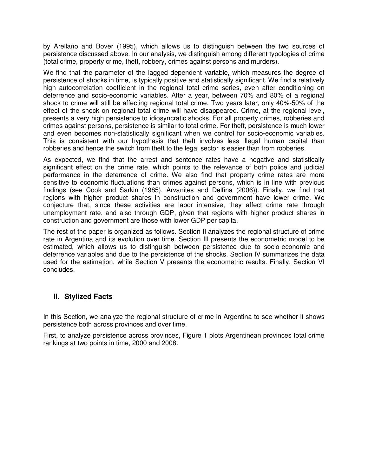by Arellano and Bover (1995), which allows us to distinguish between the two sources of persistence discussed above. In our analysis, we distinguish among different typologies of crime (total crime, property crime, theft, robbery, crimes against persons and murders).

We find that the parameter of the lagged dependent variable, which measures the degree of persistence of shocks in time, is typically positive and statistically significant. We find a relatively high autocorrelation coefficient in the regional total crime series, even after conditioning on deterrence and socio-economic variables. After a year, between 70% and 80% of a regional shock to crime will still be affecting regional total crime. Two years later, only 40%-50% of the effect of the shock on regional total crime will have disappeared. Crime, at the regional level, presents a very high persistence to idiosyncratic shocks. For all property crimes, robberies and crimes against persons, persistence is similar to total crime. For theft, persistence is much lower and even becomes non-statistically significant when we control for socio-economic variables. This is consistent with our hypothesis that theft involves less illegal human capital than robberies and hence the switch from theft to the legal sector is easier than from robberies.

As expected, we find that the arrest and sentence rates have a negative and statistically significant effect on the crime rate, which points to the relevance of both police and judicial performance in the deterrence of crime. We also find that property crime rates are more sensitive to economic fluctuations than crimes against persons, which is in line with previous findings (see Cook and Sarkin (1985), Arvanites and Delfina (2006)). Finally, we find that regions with higher product shares in construction and government have lower crime. We conjecture that, since these activities are labor intensive, they affect crime rate through unemployment rate, and also through GDP, given that regions with higher product shares in construction and government are those with lower GDP per capita.

The rest of the paper is organized as follows. Section II analyzes the regional structure of crime rate in Argentina and its evolution over time. Section III presents the econometric model to be estimated, which allows us to distinguish between persistence due to socio-economic and deterrence variables and due to the persistence of the shocks. Section IV summarizes the data used for the estimation, while Section V presents the econometric results. Finally, Section VI concludes.

### **II. Stylized Facts**

In this Section, we analyze the regional structure of crime in Argentina to see whether it shows persistence both across provinces and over time.

First, to analyze persistence across provinces, Figure 1 plots Argentinean provinces total crime rankings at two points in time, 2000 and 2008.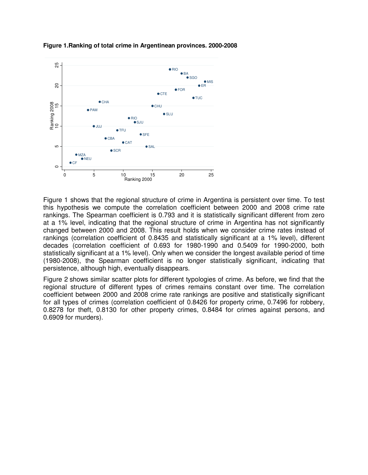

**Figure 1.Ranking of total crime in Argentinean provinces. 2000-2008** 

Figure 1 shows that the regional structure of crime in Argentina is persistent over time. To test this hypothesis we compute the correlation coefficient between 2000 and 2008 crime rate rankings. The Spearman coefficient is 0.793 and it is statistically significant different from zero at a 1% level, indicating that the regional structure of crime in Argentina has not significantly changed between 2000 and 2008. This result holds when we consider crime rates instead of rankings (correlation coefficient of 0.8435 and statistically significant at a 1% level), different decades (correlation coefficient of 0.693 for 1980-1990 and 0.5409 for 1990-2000, both statistically significant at a 1% level). Only when we consider the longest available period of time (1980-2008), the Spearman coefficient is no longer statistically significant, indicating that persistence, although high, eventually disappears.

Figure 2 shows similar scatter plots for different typologies of crime. As before, we find that the regional structure of different types of crimes remains constant over time. The correlation coefficient between 2000 and 2008 crime rate rankings are positive and statistically significant for all types of crimes (correlation coefficient of 0.8426 for property crime, 0.7496 for robbery, 0.8278 for theft, 0.8130 for other property crimes, 0.8484 for crimes against persons, and 0.6909 for murders).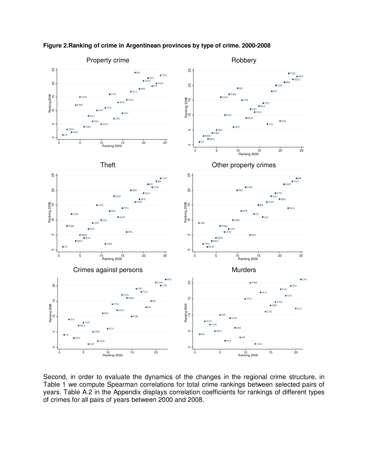

**Figure 2.Ranking of crime in Argentinean provinces by type of crime. 2000-2008** 

Second, in order to evaluate the dynamics of the changes in the regional crime structure, in Table 1 we compute Spearman correlations for total crime rankings between selected pairs of years. Table A.2 in the Appendix displays correlation coefficients for rankings of different types of crimes for all pairs of years between 2000 and 2008.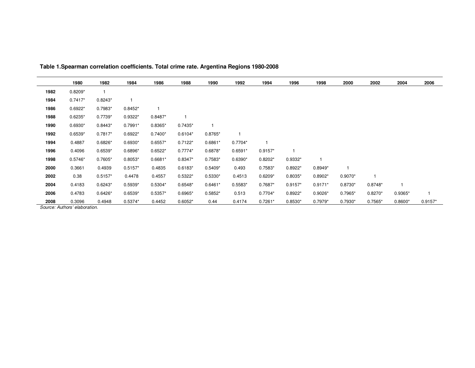|      | 1980      | 1982      | 1984      | 1986      | 1988      | 1990      | 1992      | 1994      | 1996      | 1998      | 2000      | 2002      | 2004      | 2006      |
|------|-----------|-----------|-----------|-----------|-----------|-----------|-----------|-----------|-----------|-----------|-----------|-----------|-----------|-----------|
| 1982 | $0.8209*$ |           |           |           |           |           |           |           |           |           |           |           |           |           |
| 1984 | $0.7417*$ | $0.8243*$ |           |           |           |           |           |           |           |           |           |           |           |           |
| 1986 | $0.6922*$ | $0.7983*$ | $0.8452*$ | 1         |           |           |           |           |           |           |           |           |           |           |
| 1988 | $0.6235*$ | $0.7739*$ | $0.9322*$ | $0.8487*$ |           |           |           |           |           |           |           |           |           |           |
| 1990 | $0.6930*$ | $0.8443*$ | $0.7991*$ | $0.8365*$ | $0.7435*$ |           |           |           |           |           |           |           |           |           |
| 1992 | $0.6539*$ | $0.7817*$ | $0.6922*$ | $0.7400*$ | $0.6104*$ | $0.8765*$ |           |           |           |           |           |           |           |           |
| 1994 | 0.4887    | $0.6826*$ | $0.6930*$ | $0.6557*$ | $0.7122*$ | $0.6861*$ | $0.7704*$ |           |           |           |           |           |           |           |
| 1996 | 0.4096    | $0.6539*$ | 0.6896*   | $0.6522*$ | $0.7774*$ | $0.6878*$ | $0.6591*$ | $0.9157*$ |           |           |           |           |           |           |
| 1998 | $0.5746*$ | $0.7605*$ | $0.8053*$ | $0.6681*$ | $0.8347*$ | $0.7583*$ | $0.6390*$ | $0.8202*$ | 0.9332*   |           |           |           |           |           |
| 2000 | 0.3661    | 0.4939    | $0.5157*$ | 0.4835    | $0.6183*$ | $0.5409*$ | 0.493     | $0.7583*$ | $0.8922*$ | $0.8949*$ |           |           |           |           |
| 2002 | 0.38      | $0.5157*$ | 0.4478    | 0.4557    | $0.5322*$ | $0.5330*$ | 0.4513    | $0.6209*$ | 0.8035*   | $0.8902*$ | $0.9070*$ |           |           |           |
| 2004 | 0.4183    | $0.6243*$ | $0.5939*$ | $0.5304*$ | $0.6548*$ | $0.6461*$ | $0.5583*$ | $0.7687*$ | $0.9157*$ | $0.9171*$ | $0.8730*$ | $0.8748*$ |           |           |
| 2006 | 0.4783    | $0.6426*$ | $0.6539*$ | $0.5357*$ | $0.6965*$ | $0.5852*$ | 0.513     | $0.7704*$ | $0.8922*$ | $0.9026*$ | $0.7965*$ | $0.8270*$ | $0.9365*$ |           |
| 2008 | 0.3096    | 0.4948    | $0.5374*$ | 0.4452    | $0.6052*$ | 0.44      | 0.4174    | $0.7261*$ | $0.8530*$ | $0.7979*$ | $0.7930*$ | $0.7565*$ | $0.8600*$ | $0.9157*$ |

**Table 1.Spearman correlation coefficients. Total crime rate. Argentina Regions 1980-2008**

Source: Authors' elaboration.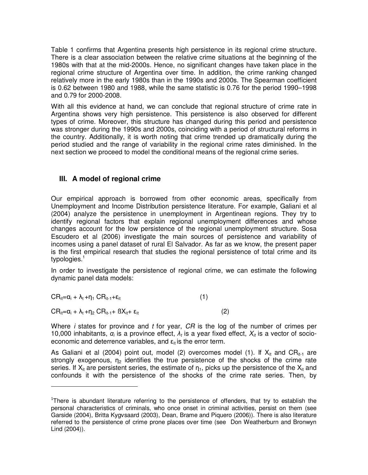Table 1 confirms that Argentina presents high persistence in its regional crime structure. There is a clear association between the relative crime situations at the beginning of the 1980s with that at the mid-2000s. Hence, no significant changes have taken place in the regional crime structure of Argentina over time. In addition, the crime ranking changed relatively more in the early 1980s than in the 1990s and 2000s. The Spearman coefficient is 0.62 between 1980 and 1988, while the same statistic is 0.76 for the period 1990–1998 and 0.79 for 2000-2008.

With all this evidence at hand, we can conclude that regional structure of crime rate in Argentina shows very high persistence. This persistence is also observed for different types of crime. Moreover, this structure has changed during this period and persistence was stronger during the 1990s and 2000s, coinciding with a period of structural reforms in the country. Additionally, it is worth noting that crime trended up dramatically during the period studied and the range of variability in the regional crime rates diminished. In the next section we proceed to model the conditional means of the regional crime series.

#### **III. A model of regional crime**

l

Our empirical approach is borrowed from other economic areas, specifically from Unemployment and Income Distribution persistence literature. For example, Galiani et al (2004) analyze the persistence in unemployment in Argentinean regions. They try to identify regional factors that explain regional unemployment differences and whose changes account for the low persistence of the regional unemployment structure. Sosa Escudero et al (2006) investigate the main sources of persistence and variability of incomes using a panel dataset of rural El Salvador. As far as we know, the present paper is the first empirical research that studies the regional persistence of total crime and its typologies.<sup>1</sup>

In order to investigate the persistence of regional crime, we can estimate the following dynamic panel data models:

| $CR_{it} = \alpha_i + \lambda_t + \eta_t CR_{it-1} + \varepsilon_{it}$        | (1) |
|-------------------------------------------------------------------------------|-----|
| $CR_{it} = \alpha_i + \lambda_t + \eta_2 CR_{it-1} + BX_{it} + \epsilon_{it}$ |     |

Where  $i$  states for province and  $t$  for year,  $CR$  is the log of the number of crimes per 10,000 inhabitants,  $\alpha_i$  is a province effect,  $\lambda_t$  is a year fixed effect,  $X_t$  is a vector of socioeconomic and deterrence variables, and  $\varepsilon_{it}$  is the error term.

As Galiani et al (2004) point out, model (2) overcomes model (1). If  $X_{it}$  and  $CR_{it-1}$  are strongly exogenous,  $n_2$  identifies the true persistence of the shocks of the crime rate series. If  $X_{it}$  are persistent series, the estimate of  $\eta_1$ , picks up the persistence of the  $X_{it}$  and confounds it with the persistence of the shocks of the crime rate series. Then, by

<sup>&</sup>lt;sup>1</sup>There is abundant literature referring to the persistence of offenders, that try to establish the personal characteristics of criminals, who once onset in criminal activities, persist on them (see Garside (2004), Britta Kygvsaard (2003), Dean, Brame and Piquero (2006)). There is also literature referred to the persistence of crime prone places over time (see Don Weatherburn and Bronwyn Lind (2004)).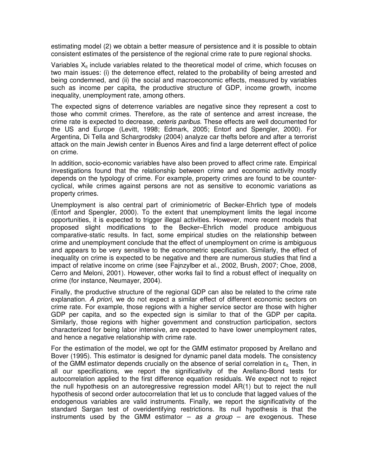estimating model (2) we obtain a better measure of persistence and it is possible to obtain consistent estimates of the persistence of the regional crime rate to pure regional shocks.

Variables  $X_{it}$  include variables related to the theoretical model of crime, which focuses on two main issues: (i) the deterrence effect, related to the probability of being arrested and being condemned, and (ii) the social and macroeconomic effects, measured by variables such as income per capita, the productive structure of GDP, income growth, income inequality, unemployment rate, among others.

The expected signs of deterrence variables are negative since they represent a cost to those who commit crimes. Therefore, as the rate of sentence and arrest increase, the crime rate is expected to decrease, ceteris paribus. These effects are well documented for the US and Europe (Levitt, 1998; Edmark, 2005; Entorf and Spengler, 2000). For Argentina, Di Tella and Schargrodsky (2004) analyze car thefts before and after a terrorist attack on the main Jewish center in Buenos Aires and find a large deterrent effect of police on crime.

In addition, socio-economic variables have also been proved to affect crime rate. Empirical investigations found that the relationship between crime and economic activity mostly depends on the typology of crime. For example, property crimes are found to be countercyclical, while crimes against persons are not as sensitive to economic variations as property crimes.

Unemployment is also central part of criminiometric of Becker-Ehrlich type of models (Entorf and Spengler, 2000). To the extent that unemployment limits the legal income opportunities, it is expected to trigger illegal activities. However, more recent models that proposed slight modifications to the Becker–Ehrlich model produce ambiguous comparative-static results. In fact, some empirical studies on the relationship between crime and unemployment conclude that the effect of unemployment on crime is ambiguous and appears to be very sensitive to the econometric specification. Similarly, the effect of inequality on crime is expected to be negative and there are numerous studies that find a impact of relative income on crime (see Fajnzylber et al., 2002, Brush, 2007; Choe, 2008, Cerro and Meloni, 2001). However, other works fail to find a robust effect of inequality on crime (for instance, Neumayer, 2004).

Finally, the productive structure of the regional GDP can also be related to the crime rate explanation. A priori, we do not expect a similar effect of different economic sectors on crime rate. For example, those regions with a higher service sector are those with higher GDP per capita, and so the expected sign is similar to that of the GDP per capita. Similarly, those regions with higher government and construction participation, sectors characterized for being labor intensive, are expected to have lower unemployment rates, and hence a negative relationship with crime rate.

For the estimation of the model, we opt for the GMM estimator proposed by Arellano and Bover (1995). This estimator is designed for dynamic panel data models. The consistency of the GMM estimator depends crucially on the absence of serial correlation in  $\varepsilon_{it}$ . Then, in all our specifications, we report the significativity of the Arellano-Bond tests for autocorrelation applied to the first difference equation residuals. We expect not to reject the null hypothesis on an autoregressive regression model AR(1) but to reject the null hypothesis of second order autocorrelation that let us to conclude that lagged values of the endogenous variables are valid instruments. Finally, we report the significativity of the standard Sargan test of overidentifying restrictions. Its null hypothesis is that the instruments used by the GMM estimator  $-$  as a group  $-$  are exogenous. These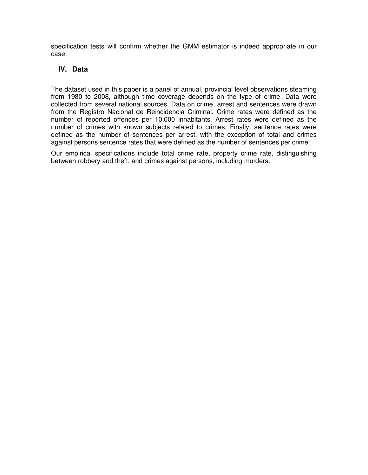specification tests will confirm whether the GMM estimator is indeed appropriate in our case.

## **IV. Data**

The dataset used in this paper is a panel of annual, provincial level observations steaming from 1980 to 2008, although time coverage depends on the type of crime. Data were collected from several national sources. Data on crime, arrest and sentences were drawn from the Registro Nacional de Reincidencia Criminal. Crime rates were defined as the number of reported offences per 10,000 inhabitants. Arrest rates were defined as the number of crimes with known subjects related to crimes. Finally, sentence rates were defined as the number of sentences per arrest, with the exception of total and crimes against persons sentence rates that were defined as the number of sentences per crime.

Our empirical specifications include total crime rate, property crime rate, distinguishing between robbery and theft, and crimes against persons, including murders.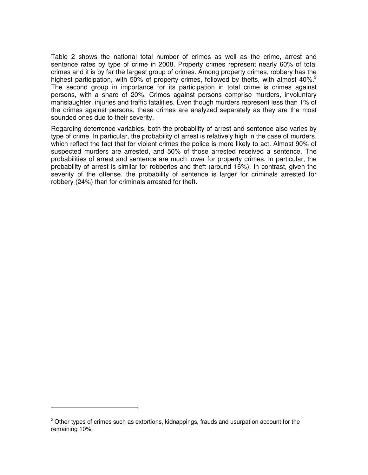Table 2 shows the national total number of crimes as well as the crime, arrest and sentence rates by type of crime in 2008. Property crimes represent nearly 60% of total crimes and it is by far the largest group of crimes. Among property crimes, robbery has the highest participation, with 50% of property crimes, followed by thefts, with almost 40%.<sup>2</sup> The second group in importance for its participation in total crime is crimes against persons, with a share of 20%. Crimes against persons comprise murders, involuntary manslaughter, injuries and traffic fatalities. Even though murders represent less than 1% of the crimes against persons, these crimes are analyzed separately as they are the most sounded ones due to their severity.

Regarding deterrence variables, both the probability of arrest and sentence also varies by type of crime. In particular, the probability of arrest is relatively high in the case of murders, which reflect the fact that for violent crimes the police is more likely to act. Almost 90% of suspected murders are arrested, and 50% of those arrested received a sentence. The probabilities of arrest and sentence are much lower for property crimes. In particular, the probability of arrest is similar for robberies and theft (around 16%). In contrast, given the severity of the offense, the probability of sentence is larger for criminals arrested for robbery (24%) than for criminals arrested for theft.

 $\overline{a}$ 

 $<sup>2</sup>$  Other types of crimes such as extortions, kidnappings, frauds and usurpation account for the</sup> remaining 10%.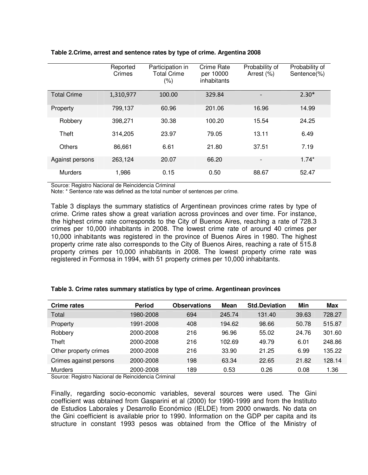|                    | Reported<br>Crimes | Participation in<br><b>Total Crime</b><br>(% ) | Crime Rate<br>per 10000<br>inhabitants | Probability of<br>Arrest (%) | Probability of<br>Sentence(%) |
|--------------------|--------------------|------------------------------------------------|----------------------------------------|------------------------------|-------------------------------|
| <b>Total Crime</b> | 1,310,977          | 100.00                                         | 329.84                                 | $\qquad \qquad \blacksquare$ | $2.30*$                       |
| Property           | 799,137            | 60.96                                          | 201.06                                 | 16.96                        | 14.99                         |
| Robbery            | 398,271            | 30.38                                          | 100.20                                 | 15.54                        | 24.25                         |
| Theft              | 314,205            | 23.97                                          | 79.05                                  | 13.11                        | 6.49                          |
| <b>Others</b>      | 86,661             | 6.61                                           | 21.80                                  | 37.51                        | 7.19                          |
| Against persons    | 263,124            | 20.07                                          | 66.20                                  | $\overline{\phantom{a}}$     | $1.74*$                       |
| <b>Murders</b>     | 1,986              | 0.15                                           | 0.50                                   | 88.67                        | 52.47                         |

#### **Table 2.Crime, arrest and sentence rates by type of crime. Argentina 2008**

Source: Registro Nacional de Reincidencia Criminal

Note: \* Sentence rate was defined as the total number of sentences per crime.

Table 3 displays the summary statistics of Argentinean provinces crime rates by type of crime. Crime rates show a great variation across provinces and over time. For instance, the highest crime rate corresponds to the City of Buenos Aires, reaching a rate of 728.3 crimes per 10,000 inhabitants in 2008. The lowest crime rate of around 40 crimes per 10,000 inhabitants was registered in the province of Buenos Aires in 1980. The highest property crime rate also corresponds to the City of Buenos Aires, reaching a rate of 515.8 property crimes per 10,000 inhabitants in 2008. The lowest property crime rate was registered in Formosa in 1994, with 51 property crimes per 10,000 inhabitants.

| <b>Crime rates</b>     | <b>Period</b> | <b>Observations</b> | <b>Mean</b> | <b>Std.Deviation</b> | Min   | <b>Max</b> |
|------------------------|---------------|---------------------|-------------|----------------------|-------|------------|
| Total                  | 1980-2008     | 694                 | 245.74      | 131.40               | 39.63 | 728.27     |
| Property               | 1991-2008     | 408                 | 194.62      | 98.66                | 50.78 | 515.87     |
| Robbery                | 2000-2008     | 216                 | 96.96       | 55.02                | 24.76 | 301.60     |
| Theft                  | 2000-2008     | 216                 | 102.69      | 49.79                | 6.01  | 248.86     |
| Other property crimes  | 2000-2008     | 216                 | 33.90       | 21.25                | 6.99  | 135.22     |
| Crimes against persons | 2000-2008     | 198                 | 63.34       | 22.65                | 21.82 | 128.14     |
| <b>Murders</b>         | 2000-2008     | 189                 | 0.53        | 0.26                 | 0.08  | 1.36       |

#### **Table 3. Crime rates summary statistics by type of crime. Argentinean provinces**

Source: Registro Nacional de Reincidencia Criminal

Finally, regarding socio-economic variables, several sources were used. The Gini coefficient was obtained from Gasparini et al (2000) for 1990-1999 and from the Instituto de Estudios Laborales y Desarrollo Económico (IELDE) from 2000 onwards. No data on the Gini coefficient is available prior to 1990. Information on the GDP per capita and its structure in constant 1993 pesos was obtained from the Office of the Ministry of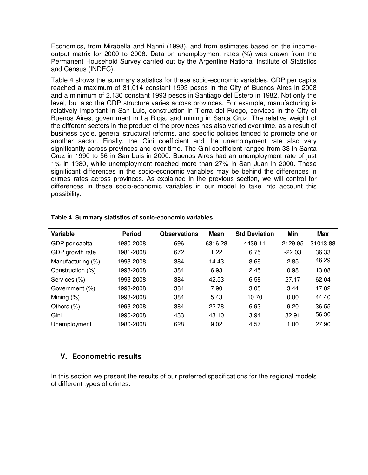Economics, from Mirabella and Nanni (1998), and from estimates based on the incomeoutput matrix for 2000 to 2008. Data on unemployment rates (%) was drawn from the Permanent Household Survey carried out by the Argentine National Institute of Statistics and Census (INDEC).

Table 4 shows the summary statistics for these socio-economic variables. GDP per capita reached a maximum of 31,014 constant 1993 pesos in the City of Buenos Aires in 2008 and a minimum of 2,130 constant 1993 pesos in Santiago del Estero in 1982. Not only the level, but also the GDP structure varies across provinces. For example, manufacturing is relatively important in San Luis, construction in Tierra del Fuego, services in the City of Buenos Aires, government in La Rioja, and mining in Santa Cruz. The relative weight of the different sectors in the product of the provinces has also varied over time, as a result of business cycle, general structural reforms, and specific policies tended to promote one or another sector. Finally, the Gini coefficient and the unemployment rate also vary significantly across provinces and over time. The Gini coefficient ranged from 33 in Santa Cruz in 1990 to 56 in San Luis in 2000. Buenos Aires had an unemployment rate of just 1% in 1980, while unemployment reached more than 27% in San Juan in 2000. These significant differences in the socio-economic variables may be behind the differences in crimes rates across provinces. As explained in the previous section, we will control for differences in these socio-economic variables in our model to take into account this possibility.

| Variable          | <b>Period</b> | <b>Observations</b> | <b>Mean</b> | <b>Std Deviation</b> | Min      | Max      |
|-------------------|---------------|---------------------|-------------|----------------------|----------|----------|
| GDP per capita    | 1980-2008     | 696                 | 6316.28     | 4439.11              | 2129.95  | 31013.88 |
| GDP growth rate   | 1981-2008     | 672                 | 1.22        | 6.75                 | $-22.03$ | 36.33    |
| Manufacturing (%) | 1993-2008     | 384                 | 14.43       | 8.69                 | 2.85     | 46.29    |
| Construction (%)  | 1993-2008     | 384                 | 6.93        | 2.45                 | 0.98     | 13.08    |
| Services (%)      | 1993-2008     | 384                 | 42.53       | 6.58                 | 27.17    | 62.04    |
| Government (%)    | 1993-2008     | 384                 | 7.90        | 3.05                 | 3.44     | 17.82    |
| Mining $(\%)$     | 1993-2008     | 384                 | 5.43        | 10.70                | 0.00     | 44.40    |
| Others $(\%)$     | 1993-2008     | 384                 | 22.78       | 6.93                 | 9.20     | 36.55    |
| Gini              | 1990-2008     | 433                 | 43.10       | 3.94                 | 32.91    | 56.30    |
| Unemployment      | 1980-2008     | 628                 | 9.02        | 4.57                 | 1.00     | 27.90    |

#### **Table 4. Summary statistics of socio-economic variables**

### **V. Econometric results**

In this section we present the results of our preferred specifications for the regional models of different types of crimes.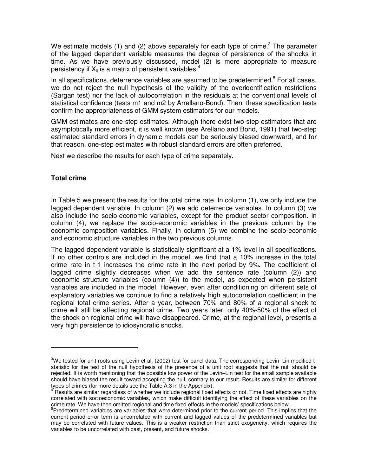We estimate models (1) and (2) above separately for each type of crime.<sup>3</sup> The parameter of the lagged dependent variable measures the degree of persistence of the shocks in time. As we have previously discussed, model (2) is more appropriate to measure persistency if  $X_{it}$  is a matrix of persistent variables.<sup>4</sup>

In all specifications, deterrence variables are assumed to be predetermined.<sup>5</sup> For all cases, we do not reject the null hypothesis of the validity of the overidentification restrictions (Sargan test) nor the lack of autocorrelation in the residuals at the conventional levels of statistical confidence (tests m1 and m2 by Arrellano-Bond). Then, these specification tests confirm the appropriateness of GMM system estimators for our models.

GMM estimates are one-step estimates. Although there exist two-step estimators that are asymptotically more efficient, it is well known (see Arellano and Bond, 1991) that two-step estimated standard errors in dynamic models can be seriously biased downward, and for that reason, one-step estimates with robust standard errors are often preferred.

Next we describe the results for each type of crime separately.

#### **Total crime**

 $\overline{a}$ 

In Table 5 we present the results for the total crime rate. In column (1), we only include the lagged dependent variable. In column (2) we add deterrence variables. In column (3) we also include the socio-economic variables, except for the product sector composition. In column (4), we replace the socio-economic variables in the previous column by the economic composition variables. Finally, in column (5) we combine the socio-economic and economic structure variables in the two previous columns.

The lagged dependent variable is statistically significant at a 1% level in all specifications. If no other controls are included in the model, we find that a 10% increase in the total crime rate in t-1 increases the crime rate in the next period by 9%. The coefficient of lagged crime slightly decreases when we add the sentence rate (column (2)) and economic structure variables (column (4)) to the model, as expected when persistent variables are included in the model. However, even after conditioning on different sets of explanatory variables we continue to find a relatively high autocorrelation coefficient in the regional total crime series. After a year, between 70% and 80% of a regional shock to crime will still be affecting regional crime. Two years later, only 40%-50% of the effect of the shock on regional crime will have disappeared. Crime, at the regional level, presents a very high persistence to idiosyncratic shocks.

<sup>&</sup>lt;sup>3</sup>We tested for unit roots using Levin et al. (2002) test for panel data. The corresponding Levin–Lin modified tstatistic for the test of the null hypothesis of the presence of a unit root suggests that the null should be rejected. It is worth mentioning that the possible low power of the Levin–Lin test for the small sample available should have biased the result toward accepting the null, contrary to our result. Results are similar for different types of crimes (for more details see the Table A.3 in the Appendix).

<sup>4</sup> Results are similar regardless of whether we include regional fixed effects or not. Time fixed effects are highly correlated with socioeconomic variables, which make difficult identifying the effect of these variables on the crime rate. We have then omitted regional and time fixed effects in the models' specifications below.

<sup>&</sup>lt;sup>5</sup>Predetermined variables are variables that were determined prior to the current period. This implies that the current period error term is uncorrelated with current and lagged values of the predetermined variables but may be correlated with future values. This is a weaker restriction than strict exogeneity, which requires the variables to be uncorrelated with past, present, and future shocks.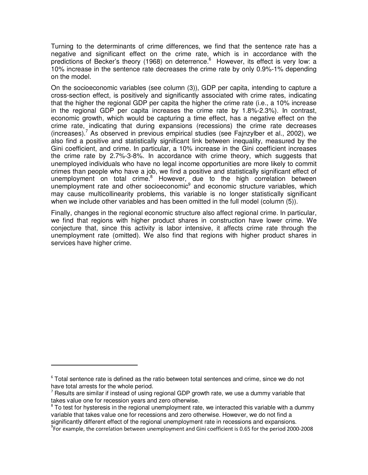Turning to the determinants of crime differences, we find that the sentence rate has a negative and significant effect on the crime rate, which is in accordance with the predictions of Becker's theory (1968) on deterrence.<sup>6</sup> However, its effect is very low: a 10% increase in the sentence rate decreases the crime rate by only 0.9%-1% depending on the model.

On the socioeconomic variables (see column (3)), GDP per capita, intending to capture a cross-section effect, is positively and significantly associated with crime rates, indicating that the higher the regional GDP per capita the higher the crime rate (i.e., a 10% increase in the regional GDP per capita increases the crime rate by 1.8%-2.3%). In contrast, economic growth, which would be capturing a time effect, has a negative effect on the crime rate, indicating that during expansions (recessions) the crime rate decreases (increases).<sup>7</sup> As observed in previous empirical studies (see Fajnzylber et al., 2002), we also find a positive and statistically significant link between inequality, measured by the Gini coefficient, and crime. In particular, a 10% increase in the Gini coefficient increases the crime rate by 2.7%-3-8%. In accordance with crime theory, which suggests that unemployed individuals who have no legal income opportunities are more likely to commit crimes than people who have a job, we find a positive and statistically significant effect of unemployment on total crime.<sup>8</sup> However, due to the high correlation between unemployment rate and other socioeconomic<sup>9</sup> and economic structure variables, which may cause multicollinearity problems, this variable is no longer statistically significant when we include other variables and has been omitted in the full model (column (5)).

Finally, changes in the regional economic structure also affect regional crime. In particular, we find that regions with higher product shares in construction have lower crime. We conjecture that, since this activity is labor intensive, it affects crime rate through the unemployment rate (omitted). We also find that regions with higher product shares in services have higher crime.

 $\overline{a}$ 

 $6$  Total sentence rate is defined as the ratio between total sentences and crime, since we do not have total arrests for the whole period.

 $<sup>7</sup>$  Results are similar if instead of using regional GDP growth rate, we use a dummy variable that</sup> takes value one for recession years and zero otherwise.

 $8$  To test for hysteresis in the regional unemployment rate, we interacted this variable with a dummy variable that takes value one for recessions and zero otherwise. However, we do not find a significantly different effect of the regional unemployment rate in recessions and expansions.

<sup>9</sup> For example, the correlation between unemployment and Gini coefficient is 0.65 for the period 2000-2008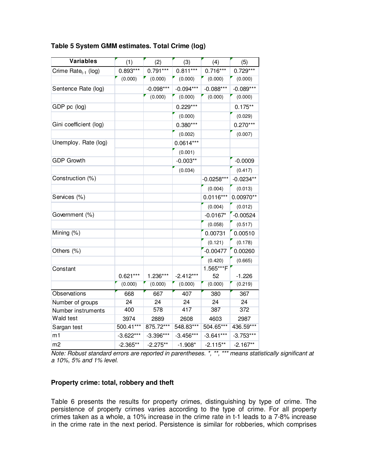| <b>Variables</b>                | (1)         | (2)         | (3)         | (4)          | (5)         |
|---------------------------------|-------------|-------------|-------------|--------------|-------------|
| Crime Rate <sub>t-1</sub> (log) | $0.893***$  | $0.791***$  | $0.811***$  | $0.716***$   | $0.729***$  |
|                                 | (0.000)     | (0.000)     | (0.000)     | (0.000)      | (0.000)     |
| Sentence Rate (log)             |             | $-0.098***$ | $-0.094***$ | $-0.088***$  | $-0.089***$ |
|                                 |             | (0.000)     | (0.000)     | (0.000)      | (0.000)     |
| GDP pc (log)                    |             |             | $0.229***$  |              | $0.175**$   |
|                                 |             |             | (0.000)     |              | (0.029)     |
| Gini coefficient (log)          |             |             | $0.380***$  |              | $0.270***$  |
|                                 |             |             | (0.002)     |              | (0.007)     |
| Unemploy. Rate (log)            |             |             | $0.0614***$ |              |             |
|                                 |             |             | (0.001)     |              |             |
| <b>GDP Growth</b>               |             |             | $-0.003**$  |              | $-0.0009$   |
|                                 |             |             | (0.034)     |              | (0.417)     |
| Construction (%)                |             |             |             | $-0.0258***$ | $-0.0234**$ |
|                                 |             |             |             | (0.004)      | (0.013)     |
| Services (%)                    |             |             |             | $0.0116***$  | 0.00970**   |
|                                 |             |             |             | (0.004)      | (0.012)     |
| Government (%)                  |             |             |             | $-0.0167*$   | $-0.00524$  |
|                                 |             |             |             | (0.058)      | (0.517)     |
| Mining (%)                      |             |             |             | 0.00731      | 0.00510     |
|                                 |             |             |             | (0.121)      | (0.178)     |
| Others (%)                      |             |             |             | $-0.00477$   | 0.00260     |
|                                 |             |             |             | (0.420)      | (0.665)     |
| Constant                        |             |             |             | 1.565***F    |             |
|                                 | $0.621***$  | 1.236***    | $-2.412***$ | 52           | $-1.226$    |
|                                 | (0.000)     | (0.000)     | (0.000)     | (0.000)      | (0.219)     |
| Observations                    | 668         | 667         | 407         | 380          | 367         |
| Number of groups                | 24          | 24          | 24          | 24           | 24          |
| Number instruments              | 400         | 578         | 417         | 387          | 372         |
| Wald test                       | 3974        | 2889        | 2608        | 4603         | 2987        |
| Sargan test                     | 500.41***   | 875.72***   | 548.83***   | 504.65***    | 436.59***   |
| m1                              | $-3.622***$ | $-3.396***$ | $-3.456***$ | $-3.641***$  | $-3.753***$ |
| m <sub>2</sub>                  | $-2.365**$  | $-2.275**$  | $-1.908*$   | $-2.115**$   | $-2.167**$  |

#### **Table 5 System GMM estimates. Total Crime (log)**

Note: Robust standard errors are reported in parentheses. \*, \*\*, \*\*\* means statistically significant at a 10%, 5% and 1% level.

#### **Property crime: total, robbery and theft**

Table 6 presents the results for property crimes, distinguishing by type of crime. The persistence of property crimes varies according to the type of crime. For all property crimes taken as a whole, a 10% increase in the crime rate in t-1 leads to a 7-8% increase in the crime rate in the next period. Persistence is similar for robberies, which comprises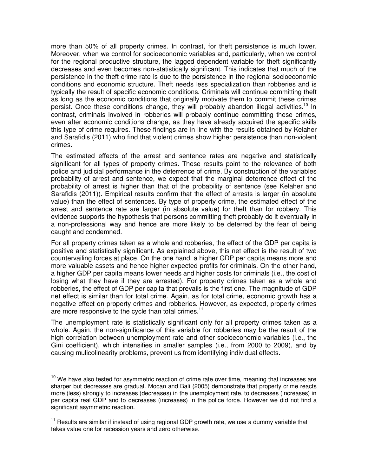more than 50% of all property crimes. In contrast, for theft persistence is much lower. Moreover, when we control for socioeconomic variables and, particularly, when we control for the regional productive structure, the lagged dependent variable for theft significantly decreases and even becomes non-statistically significant. This indicates that much of the persistence in the theft crime rate is due to the persistence in the regional socioeconomic conditions and economic structure. Theft needs less specialization than robberies and is typically the result of specific economic conditions. Criminals will continue committing theft as long as the economic conditions that originally motivate them to commit these crimes persist. Once these conditions change, they will probably abandon illegal activities.<sup>10</sup> In contrast, criminals involved in robberies will probably continue committing these crimes, even after economic conditions change, as they have already acquired the specific skills this type of crime requires. These findings are in line with the results obtained by Kelaher and Sarafidis (2011) who find that violent crimes show higher persistence than non-violent crimes.

The estimated effects of the arrest and sentence rates are negative and statistically significant for all types of property crimes. These results point to the relevance of both police and judicial performance in the deterrence of crime. By construction of the variables probability of arrest and sentence, we expect that the marginal deterrence effect of the probability of arrest is higher than that of the probability of sentence (see Kelaher and Sarafidis (2011)). Empirical results confirm that the effect of arrests is larger (in absolute value) than the effect of sentences. By type of property crime, the estimated effect of the arrest and sentence rate are larger (in absolute value) for theft than for robbery. This evidence supports the hypothesis that persons committing theft probably do it eventually in a non-professional way and hence are more likely to be deterred by the fear of being caught and condemned.

For all property crimes taken as a whole and robberies, the effect of the GDP per capita is positive and statistically significant. As explained above, this net effect is the result of two countervailing forces at place. On the one hand, a higher GDP per capita means more and more valuable assets and hence higher expected profits for criminals. On the other hand, a higher GDP per capita means lower needs and higher costs for criminals (i.e., the cost of losing what they have if they are arrested). For property crimes taken as a whole and robberies, the effect of GDP per capita that prevails is the first one. The magnitude of GDP net effect is similar than for total crime. Again, as for total crime, economic growth has a negative effect on property crimes and robberies. However, as expected, property crimes are more responsive to the cycle than total crimes.<sup>11</sup>

The unemployment rate is statistically significant only for all property crimes taken as a whole. Again, the non-significance of this variable for robberies may be the result of the high correlation between unemployment rate and other socioeconomic variables (i.e., the Gini coefficient), which intensifies in smaller samples (i.e., from 2000 to 2009), and by causing mulicolinearity problems, prevent us from identifying individual effects.

l

 $10$  We have also tested for asymmetric reaction of crime rate over time, meaning that increases are sharper but decreases are gradual. Mocan and Bali (2005) demonstrate that property crime reacts more (less) strongly to increases (decreases) in the unemployment rate, to decreases (increases) in per capita real GDP and to decreases (increases) in the police force. However we did not find a significant asymmetric reaction.

 $11$  Results are similar if instead of using regional GDP growth rate, we use a dummy variable that takes value one for recession years and zero otherwise.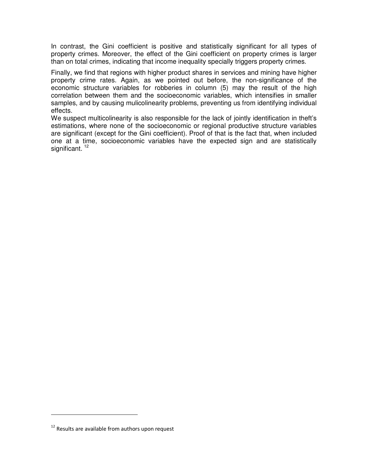In contrast, the Gini coefficient is positive and statistically significant for all types of property crimes. Moreover, the effect of the Gini coefficient on property crimes is larger than on total crimes, indicating that income inequality specially triggers property crimes.

Finally, we find that regions with higher product shares in services and mining have higher property crime rates. Again, as we pointed out before, the non-significance of the economic structure variables for robberies in column (5) may the result of the high correlation between them and the socioeconomic variables, which intensifies in smaller samples, and by causing mulicolinearity problems, preventing us from identifying individual effects.

We suspect multicolinearity is also responsible for the lack of jointly identification in theft's estimations, where none of the socioeconomic or regional productive structure variables are significant (except for the Gini coefficient). Proof of that is the fact that, when included one at a time, socioeconomic variables have the expected sign and are statistically significant.<sup>12</sup>

l

 $12$  Results are available from authors upon request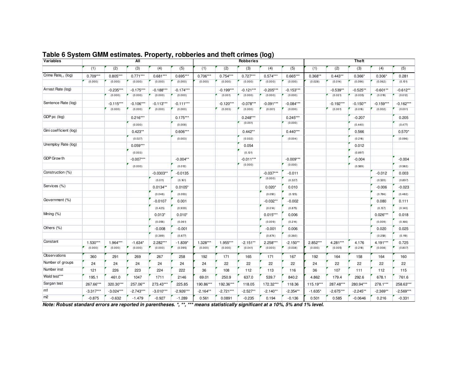| Variables                       |             |             | All         |             |             |            |             | Robberies   |             |             |           |             | <b>Theft</b> |             |             |
|---------------------------------|-------------|-------------|-------------|-------------|-------------|------------|-------------|-------------|-------------|-------------|-----------|-------------|--------------|-------------|-------------|
|                                 | (1)         | (2)         | (3)         | (4)         | (5)         | (1)        | (2)         | (3)         | (4)         | (5)         | (1)       | (2)         | (3)          | (4)         | (5)         |
| Crime Rate <sub>t-1</sub> (log) | $0.709***$  | $0.805***$  | $0.771***$  | $0.681***$  | 0.695***    | 0.706***   | $0.754***$  | $0.727***$  | $0.574***$  | $0.665***$  | $0.368**$ | $0.443**$   | $0.366*$     | $0.306*$    | 0.281       |
|                                 | (0.000)     | (0.000)     | (0.000)     | (0.000)     | (0.000)     | (0.000)    | (0.000)     | (0.000)     | (0.000)     | (0.000)     | (0.028)   | (0.014)     | (0.096)      | (0.062)     | (0.101)     |
| Arrest Rate (log)               |             | $-0.235***$ | $-0.175***$ | $-0.188***$ | $-0.174***$ |            | $-0.199***$ | $-0.121***$ | $-0.205***$ | $-0.153***$ |           | $-0.539**$  | $-0.525**$   | $-0.601**$  | $-0.612**$  |
|                                 |             | (0.000)     | (0.000)     | (0.000)     | (0.000)     |            | (0.001)     | (0.000)     | (0.000)     | (0.000)     |           | (0.021)     | (0.035)      | (0.019)     | (0.012)     |
| Sentence Rate (log)             |             | $-0.115***$ | $-0.106***$ | $-0.113***$ | $-0.111***$ |            | $-0.120***$ | $-0.078***$ | $-0.091***$ | $-0.084***$ |           | $-0.192***$ | $-0.150**$   | $-0.159***$ | $-0.162***$ |
|                                 |             | (0.000)     | (0.000)     | (0.000)     | (0.000)     |            | (0.003)     | (0.000)     | (0.001)     | (0.000)     |           | (0.001)     | (0.016)      | (0.002)     | (0.001)     |
| GDP pc (log)                    |             |             | $0.216***$  |             | $0.175***$  |            |             | $0.248***$  |             | $0.245***$  |           |             | $-0.207$     |             | 0.205       |
|                                 |             |             | (0.000)     |             | (0.008)     |            |             | (0.001)     |             | (0.000)     |           |             | (0.440)      |             | (0.477)     |
| Gini coefficient (log)          |             |             | $0.423**$   |             | $0.606***$  |            |             | $0.442**$   |             | $0.440***$  |           |             | 0.566        |             | $0.570*$    |
|                                 |             |             | (0.027)     |             | (0.003)     |            |             | (0.032)     |             | (0.004)     |           |             | (0.216)      |             | (0.096)     |
| Unemploy Rate (log)             |             |             | $0.059***$  |             |             |            |             | 0.054       |             |             |           |             | 0.012        |             |             |
|                                 |             |             | (0.003)     |             |             |            |             | (0.131)     |             |             |           |             | (0.897)      |             |             |
| GDP Grow th                     |             |             | $-0.007***$ |             | $-0.004**$  |            |             | $-0.011***$ |             | $-0.009***$ |           |             | $-0.004$     |             | $-0.004$    |
|                                 |             |             | (0.000)     |             | (0.012)     |            |             | (0.000)     |             | (0.000)     |           |             | (0.589)      |             | (0.582)     |
| Construction (%)                |             |             |             | $-0.0303**$ | $-0.0135$   |            |             |             | $-0.037***$ | $-0.011$    |           |             |              | $-0.012$    | 0.003       |
|                                 |             |             |             | (0.011)     | (0.161)     |            |             |             | (0.000)     | (0.327)     |           |             |              | (0.520)     | (0.897)     |
| Services (%)                    |             |             |             | $0.0134**$  | $0.0105*$   |            |             |             | $0.020*$    | 0.010       |           |             |              | $-0.006$    | $-0.023$    |
|                                 |             |             |             | (0.048)     | (0.053)     |            |             |             | (0.050)     | (0.125)     |           |             |              | (0.786)     | (0.482)     |
| Government (%)                  |             |             |             | $-0.0107$   | 0.001       |            |             |             | $-0.032**$  | $-0.002$    |           |             |              | 0.080       | 0.111       |
|                                 |             |             |             | (0.425)     | (0.939)     |            |             |             | (0.014)     | (0.875)     |           |             |              | (0.137)     | (0.140)     |
| Mining (%)                      |             |             |             | $0.013*$    | $0.010*$    |            |             |             | $0.015***$  | 0.006       |           |             |              | $0.026***$  | 0.018       |
|                                 |             |             |             | (0.056)     | (0.061)     |            |             |             | (0.009)     | (0.214)     |           |             |              | (0.009)     | (0.166)     |
| Others (%)                      |             |             |             | $-0.008$    | $-0.001$    |            |             |             | $-0.001$    | 0.006       |           |             |              | 0.020       | 0.025       |
|                                 |             |             |             | (0.389)     | (0.877)     |            |             |             | (0.874)     | (0.360)     |           |             |              | (0.258)     | (0.119)     |
| Constant                        | 1.530***    | 1.964***    | $-1.634*$   | 2.282***    | $-1.839*$   | 1.328***   | 1.955***    | $-2.151**$  | 2.258***    | $-2.150**$  | 2.852***  | 4.281***    | 4.176        | 4.191***    | 0.725       |
|                                 | (0.000)     | (0.000)     | (0.000)     | (0.000)     | (0.095)     | (0.000)    | (0.000)     | (0.041)     | (0.000)     | (0.038)     | (0.000)   | (0.005)     | (0.218)      | (0.008)     | (0.807)     |
| Observations                    | 360         | 291         | 269         | 267         | 258         | 192        | 171         | 165         | 171         | 167         | 192       | 164         | 158          | 164         | 160         |
| Number of groups                | 24          | 24          | 24          | 24          | 24          | 24         | 22          | 22          | 22          | 22          | 24        | 22          | 22           | 22          | 22          |
| Number inst                     | 121         | 226         | 223         | 224         | 222         | 36         | 108         | 112         | 113         | 116         | 36        | 107         | 111          | 112         | 115         |
| Wald test***                    | 195.1       | 461.0       | 1047        | 1711        | 2146        | 69.01      | 250.9       | 637.0       | 539.7       | 840.2       | 4.862     | 179.4       | 292.6        | 678.1       | 761.6       |
| Sargan test                     | 267.66***   | 320.30***   | 257.06**    | 273.43***   | 225.85      | 190.86***  | 192.36***   | 118.05      | 172.32***   | 118.36      | 115.19*** | 287.48***   | 280.94***    | 278.1***    | 258.63***   |
| m1                              | $-3.317***$ | $-3.024***$ | $-2.743***$ | $-3.010***$ | $-2.926***$ | $-2.164**$ | $-2.721***$ | $-2.527**$  | $-2.140**$  | $-2.354**$  | $-1.635*$ | $-2.675***$ | $-2.245**$   | $-2.369**$  | $-2.569***$ |
| m <sub>2</sub>                  | $-0.875$    | $-0.632$    | $-1.479$    | $-0.927$    | $-1.289$    | 0.561      | 0.0891      | $-0.235$    | 0.194       | $-0.136$    | 0.501     | 0.585       | $-0.0646$    | 0.216       | $-0.331$    |

#### **Table 6 System GMM estimates. Property, robberies and theft crimes (log)**

*Note: Robust standard errors are reported in parentheses. \*, \*\*, \*\*\* means statistically significant at a 10%, 5% and 1% level.*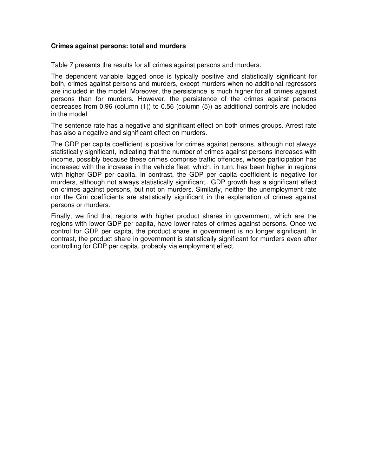#### **Crimes against persons: total and murders**

Table 7 presents the results for all crimes against persons and murders.

The dependent variable lagged once is typically positive and statistically significant for both, crimes against persons and murders, except murders when no additional regressors are included in the model. Moreover, the persistence is much higher for all crimes against persons than for murders. However, the persistence of the crimes against persons decreases from 0.96 (column (1)) to 0.56 (column (5)) as additional controls are included in the model

The sentence rate has a negative and significant effect on both crimes groups. Arrest rate has also a negative and significant effect on murders.

The GDP per capita coefficient is positive for crimes against persons, although not always statistically significant, indicating that the number of crimes against persons increases with income, possibly because these crimes comprise traffic offences, whose participation has increased with the increase in the vehicle fleet, which, in turn, has been higher in regions with higher GDP per capita. In contrast, the GDP per capita coefficient is negative for murders, although not always statistically significant,. GDP growth has a significant effect on crimes against persons, but not on murders. Similarly, neither the unemployment rate nor the Gini coefficients are statistically significant in the explanation of crimes against persons or murders.

Finally, we find that regions with higher product shares in government, which are the regions with lower GDP per capita, have lower rates of crimes against persons. Once we control for GDP per capita, the product share in government is no longer significant. In contrast, the product share in government is statistically significant for murders even after controlling for GDP per capita, probably via employment effect.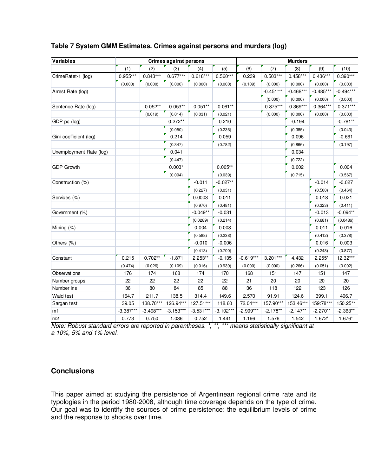| <b>Variables</b>        |             |             | Crimes against persons |             |             |             | <b>Murders</b> |             |             |             |
|-------------------------|-------------|-------------|------------------------|-------------|-------------|-------------|----------------|-------------|-------------|-------------|
|                         | (1)         | (2)         | (3)                    | (4)         | (5)         | (6)         | (7)            | (8)         | (9)         | (10)        |
| CrimeRatet-1 (log)      | $0.955***$  | $0.843***$  | $0.677***$             | $0.618***$  | $0.560***$  | 0.239       | $0.503***$     | $0.458***$  | $0.436***$  | $0.390***$  |
|                         | (0.000)     | (0.000)     | (0.000)                | (0.000)     | (0.000)     | (0.109)     | (0.000)        | (0.000)     | (0.000)     | (0.000)     |
| Arrest Rate (log)       |             |             |                        |             |             |             | $-0.451***$    | $-0.468***$ | $-0.485***$ | $-0.494***$ |
|                         |             |             |                        |             |             |             | (0.000)        | (0.000)     | (0.000)     | (0.000)     |
| Sentence Rate (log)     |             | $-0.052**$  | $-0.053**$             | $-0.051**$  | $-0.061**$  |             | $-0.375***$    | $-0.369***$ | $-0.364***$ | $-0.371***$ |
|                         |             | (0.019)     | (0.014)                | (0.031)     | (0.021)     |             | (0.000)        | (0.000)     | (0.000)     | (0.000)     |
| GDP pc (log)            |             |             | $0.272**$              |             | 0.210       |             |                | $-0.194$    |             | $-0.781**$  |
|                         |             |             | (0.050)                |             | (0.236)     |             |                | (0.385)     |             | (0.043)     |
| Gini coefficient (log)  |             |             | 0.214                  |             | 0.059       |             |                | 0.096       |             | $-0.661$    |
|                         |             |             | (0.347)                |             | (0.782)     |             |                | (0.866)     |             | (0.197)     |
| Unemployment Rate (log) |             |             | 0.041                  |             |             |             |                | 0.034       |             |             |
|                         |             |             | (0.447)                |             |             |             |                | (0.722)     |             |             |
| <b>GDP Growth</b>       |             |             | $0.003*$               |             | $0.005**$   |             |                | 0.002       |             | 0.004       |
|                         |             |             | (0.094)                |             | (0.039)     |             |                | (0.715)     |             | (0.567)     |
| Construction (%)        |             |             |                        | $-0.011$    | $-0.027**$  |             |                |             | $-0.014$    | $-0.027$    |
|                         |             |             |                        | (0.227)     | (0.031)     |             |                |             | (0.500)     | (0.464)     |
| Services (%)            |             |             |                        | 0.0003      | 0.011       |             |                |             | 0.018       | 0.021       |
|                         |             |             |                        | (0.970)     | (0.481)     |             |                |             | (0.323)     | (0.411)     |
| Government (%)          |             |             |                        | $-0.049**$  | $-0.031$    |             |                |             | $-0.013$    | $-0.094**$  |
|                         |             |             |                        | (0.0289)    | (0.214)     |             |                |             | (0.681)     | (0.0486)    |
| Mining (%)              |             |             |                        | 0.004       | 0.008       |             |                |             | 0.011       | 0.016       |
|                         |             |             |                        | (0.588)     | (0.238)     |             |                |             | (0.412)     | (0.378)     |
| Others (%)              |             |             |                        | $-0.010$    | $-0.006$    |             |                |             | 0.016       | 0.003       |
|                         |             |             |                        | (0.413)     | (0.700)     |             |                |             | (0.248)     | (0.877)     |
| Constant                | 0.215       | $0.702**$   | $-1.871$               | 2.253**     | $-0.135$    | $-0.619***$ | $3.201***$     | 4.432       | $2.255*$    | 12.32***    |
|                         | (0.474)     | (0.026)     | (0.109)                | (0.016)     | (0.939)     | (0.000)     | (0.000)        | (0.266)     | (0.051)     | (0.002)     |
| Observations            | 176         | 174         | 168                    | 174         | 170         | 168         | 151            | 147         | 151         | 147         |
| Number groups           | 22          | 22          | 22                     | 22          | 22          | 21          | 20             | 20          | 20          | 20          |
| Number ins              | 36          | 80          | 84                     | 85          | 88          | 36          | 118            | 122         | 123         | 126         |
| Wald test               | 164.7       | 211.7       | 138.5                  | 314.4       | 149.6       | 2.570       | 91.91          | 124.6       | 399.1       | 406.7       |
| Sargan test             | 39.05       | 138.70***   | 126.94***              | 127.51***   | 118.60      | 72.04***    | 157.90***      | 153.46***   | 159:78***   | 150.25**    |
| m1                      | $-3.387***$ | $-3.498***$ | $-3.153***$            | $-3.531***$ | $-3.102***$ | $-2.909***$ | $-2.178**$     | $-2.147**$  | $-2.270**$  | $-2.363**$  |
| m2                      | 0.773       | 0.750       | 1.036                  | 0.752       | 1.441       | 1.196       | 1.576          | 1.542       | $1.672*$    | 1.676*      |

### **Table 7 System GMM Estimates. Crimes against persons and murders (log)**

Note: Robust standard errors are reported in parentheses. \*, \*\*, \*\*\* means statistically significant at a 10%, 5% and 1% level.

## **Conclusions**

This paper aimed at studying the persistence of Argentinean regional crime rate and its typologies in the period 1980-2008, although time coverage depends on the type of crime. Our goal was to identify the sources of crime persistence: the equilibrium levels of crime and the response to shocks over time.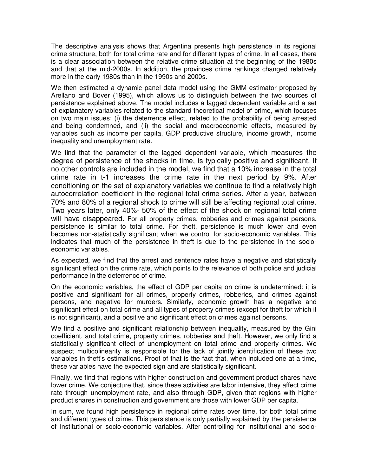The descriptive analysis shows that Argentina presents high persistence in its regional crime structure, both for total crime rate and for different types of crime. In all cases, there is a clear association between the relative crime situation at the beginning of the 1980s and that at the mid-2000s. In addition, the provinces crime rankings changed relatively more in the early 1980s than in the 1990s and 2000s.

We then estimated a dynamic panel data model using the GMM estimator proposed by Arellano and Bover (1995), which allows us to distinguish between the two sources of persistence explained above. The model includes a lagged dependent variable and a set of explanatory variables related to the standard theoretical model of crime, which focuses on two main issues: (i) the deterrence effect, related to the probability of being arrested and being condemned, and (ii) the social and macroeconomic effects, measured by variables such as income per capita, GDP productive structure, income growth, income inequality and unemployment rate.

We find that the parameter of the lagged dependent variable, which measures the degree of persistence of the shocks in time, is typically positive and significant. If no other controls are included in the model, we find that a 10% increase in the total crime rate in t-1 increases the crime rate in the next period by 9%. After conditioning on the set of explanatory variables we continue to find a relatively high autocorrelation coefficient in the regional total crime series. After a year, between 70% and 80% of a regional shock to crime will still be affecting regional total crime. Two years later, only 40%- 50% of the effect of the shock on regional total crime will have disappeared. For all property crimes, robberies and crimes against persons, persistence is similar to total crime. For theft, persistence is much lower and even becomes non-statistically significant when we control for socio-economic variables. This indicates that much of the persistence in theft is due to the persistence in the socioeconomic variables.

As expected, we find that the arrest and sentence rates have a negative and statistically significant effect on the crime rate, which points to the relevance of both police and judicial performance in the deterrence of crime.

On the economic variables, the effect of GDP per capita on crime is undetermined: it is positive and significant for all crimes, property crimes, robberies, and crimes against persons, and negative for murders. Similarly, economic growth has a negative and significant effect on total crime and all types of property crimes (except for theft for which it is not significant), and a positive and significant effect on crimes against persons.

We find a positive and significant relationship between inequality, measured by the Gini coefficient, and total crime, property crimes, robberies and theft. However, we only find a statistically significant effect of unemployment on total crime and property crimes. We suspect multicolinearity is responsible for the lack of jointly identification of these two variables in theft's estimations. Proof of that is the fact that, when included one at a time, these variables have the expected sign and are statistically significant.

Finally, we find that regions with higher construction and government product shares have lower crime. We conjecture that, since these activities are labor intensive, they affect crime rate through unemployment rate, and also through GDP, given that regions with higher product shares in construction and government are those with lower GDP per capita.

In sum, we found high persistence in regional crime rates over time, for both total crime and different types of crime. This persistence is only partially explained by the persistence of institutional or socio-economic variables. After controlling for institutional and socio-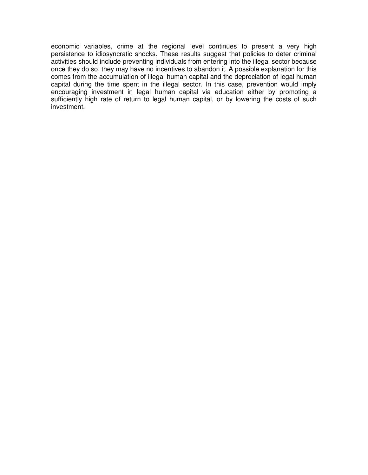economic variables, crime at the regional level continues to present a very high persistence to idiosyncratic shocks. These results suggest that policies to deter criminal activities should include preventing individuals from entering into the illegal sector because once they do so; they may have no incentives to abandon it. A possible explanation for this comes from the accumulation of illegal human capital and the depreciation of legal human capital during the time spent in the illegal sector. In this case, prevention would imply encouraging investment in legal human capital via education either by promoting a sufficiently high rate of return to legal human capital, or by lowering the costs of such investment.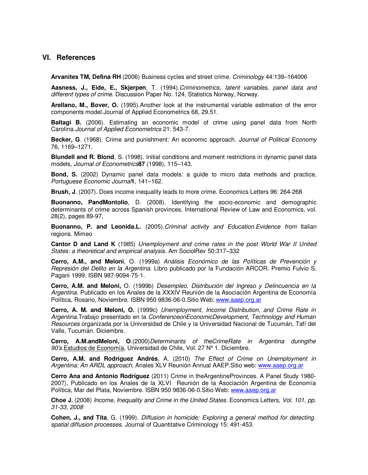#### **VI. References**

**Arvanites TM, Defina RH** (2006) Business cycles and street crime. Criminology 44:139–164006

**Aasness, J., Eide, E., Skjerpen**, T. (1994).Criminometrics, latent variables, panel data and different types of crime. Discussion Paper No. 124, Statistics Norway, Norway.

**Arellano, M., Bover, O.** (1995).Another look at the instrumental variable estimation of the error components model.Journal of Applied Econometrics 68, 29.51.

**Baltagi B.** (2006). Estimating an economic model of crime using panel data from North Carolina.Journal of Applied Econometrics 21: 543-7.

**Becker, G**. (1968). Crime and punishment: An economic approach. Journal of Political Economy 76, 1169–1271.

**Blundell and R. Blond**, S. (1998). Initial conditions and moment restrictions in dynamic panel data models, Journal of Econometrics**87** (1998), 115–143.

**Bond, S.** (2002) Dynamic panel data models: a guide to micro data methods and practice, Portuguese Economic Journal**1**, 141–162.

**Brush, J**. (2007). Does income inequality leads to more crime. Economics Letters 96: 264-268

**Buonanno, PandMontolio**, D. (2008). Identifying the socio-economic and demographic determinants of crime across Spanish provinces. International Review of Law and Economics, vol. 28(2), pages 89-97,

**Buonanno, P. and Leonida.L.** (2005).Criminal activity and Education.Evidence from Italian regions. Mimeo

**Cantor D and Land K** (1985) Unemployment and crime rates in the post World War II United States: a theoretical and empirical analysis. Am SociolRev 50:317–332

**Cerro, A.M., and Meloni**, O. (1999a) Análisis Económico de las Políticas de Prevención y Represión del Delito en la Argentina. Libro publicado por la Fundación ARCOR. Premio Fulvio S. Pagani 1999. ISBN 987-9094-75-1.

**Cerro, A.M. and Meloni,** O. (1999b) Desempleo, Distribución del Ingreso y Delincuencia en la Argentina. Publicado en los Anales de la XXXIV Reunión de la Asociación Argentina de Economía Política, Rosario, Noviembre. ISBN 950 9836-06-0.Sitio Web: www.aaep.org.ar

**Cerro, A. M. and Meloni, O.** (1999c) Unemployment, Income Distribution, and Crime Rate in Argentina.Trabajo presentado en la ConferenceonEconomicDevelopment, Technology and Human Resources organizada por la Universidad de Chile y la Universidad Nacional de Tucumán, Tafí del Valle, Tucumán. Diciembre.

**Cerro, A.M.andMeloni, O.**(2000)Determinants of theCrimeRate in Argentina duringthe 90's.Estudios de Economía, Universidad de Chile, Vol. 27 Nº 1. Diciembre.

**Cerro, A.M. and Rodríguez Andrés**, A. (2010) The Effect of Crime on Unemployment in Argentina: An ARDL approach, Anales XLV Reunión Annual AAEP.Sitio web: www.aaep.org.ar

**Cerro Ana and Antonio Rodríguez** (2011) Crime in theArgentineProvinces. A Panel Study 1980- 2007), Publicado en los Anales de la XLVI Reunión de la Asociación Argentina de Economía Política, Mar del Plata, Noviembre. ISBN 950 9836-06-0.Sitio Web: www.aaep.org.ar

**Choe J.** (2008) Income, Inequality and Crime in the United States. Economics Letters, Vol. 101, pp. 31-33, 2008

**Cohen, J., and Tita**, G. (1999). Diffusion in homicide: Exploring a general method for detecting spatial diffusion processes. Journal of Quantitative Criminology 15: 491-453.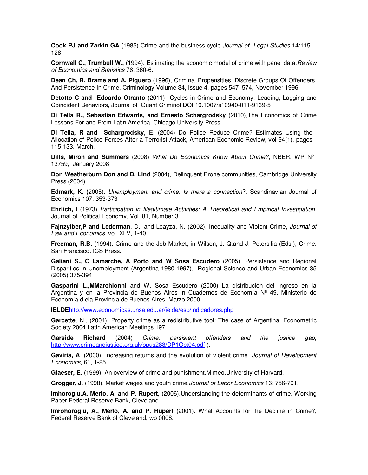**Cook PJ and Zarkin GA** (1985) Crime and the business cycle.Journal of Legal Studies 14:115– 128

**Cornwell C., Trumbull W.,** (1994). Estimating the economic model of crime with panel data. Review of Economics and Statistics 76: 360-6.

**Dean Ch, R. Brame and A. Piquero** (1996), Criminal Propensities, Discrete Groups Of Offenders, And Persistence In Crime, Criminology Volume 34, Issue 4, pages 547–574, November 1996

**Detotto C and Edoardo Otranto** (2011) Cycles in Crime and Economy: Leading, Lagging and Coincident Behaviors, Journal of Quant Criminol DOI 10.1007/s10940-011-9139-5

**Di Tella R., Sebastian Edwards, and Ernesto Schargrodsky** (2010),The Economics of Crime Lessons For and From Latin America, Chicago University Press

**Di Tella, R and Schargrodsky**, E. (2004) Do Police Reduce Crime? Estimates Using the Allocation of Police Forces After a Terrorist Attack, American Economic Review, vol 94(1), pages 115-133, March.

**Dills, Miron and Summers** (2008) What Do Economics Know About Crime?, NBER, WP Nº 13759, January 2008

**Don Weatherburn Don and B. Lind** (2004), Delinquent Prone communities, Cambridge University Press (2004)

**Edmark, K. (**2005). Unemployment and crime: Is there a connection?. Scandinavian Journal of Economics 107: 353-373

**Ehrlich,** I (1973) Participation in Illegitimate Activities: A Theoretical and Empirical Investigation. Journal of Political Economy, Vol. 81, Number 3.

**Fajnzylber,P and Lederman**, D., and Loayza, N. (2002). Inequality and Violent Crime, Journal of Law and Economics, vol. XLV, 1-40.

**Freeman, R.B.** (1994). Crime and the Job Market, in Wilson, J. Q.and J. Petersilia (Eds.), Crime. San Francisco: ICS Press.

**Galiani S., C Lamarche, A Porto and W Sosa Escudero** (2005), Persistence and Regional Disparities in Unemployment (Argentina 1980-1997), Regional Science and Urban Economics 35 (2005) 375-394

**Gasparini L.,MMarchionni** and W. Sosa Escudero (2000) La distribución del ingreso en la Argentina y en la Provincia de Buenos Aires in Cuadernos de Economía Nº 49, Ministerio de Economía d ela Provincia de Buenos Aires, Marzo 2000

**IELDE**http://www.economicas.unsa.edu.ar/ielde/esp/indicadores.php

**Garcette**, N., (2004). Property crime as a redistributive tool: The case of Argentina. Econometric Society 2004.Latin American Meetings 197.

**Garside Richard** (2004) Crime, persistent offenders and the justice gap, http://www.crimeandjustice.org.uk/opus283/DP1Oct04.pdf ).

Gaviria, A. (2000). Increasing returns and the evolution of violent crime. Journal of Development Economics, 61, 1-25.

**Glaeser, E**. (1999). An overview of crime and punishment.Mimeo.University of Harvard.

**Grogger, J**. (1998). Market wages and youth crime.Journal of Labor Economics 16: 756-791.

**Imhoroglu,A, Merlo, A. and P. Rupert,** (2006).Understanding the determinants of crime. Working Paper.Federal Reserve Bank, Cleveland.

**Imrohoroglu, A., Merlo, A. and P. Rupert** (2001). What Accounts for the Decline in Crime?, Federal Reserve Bank of Cleveland, wp 0008.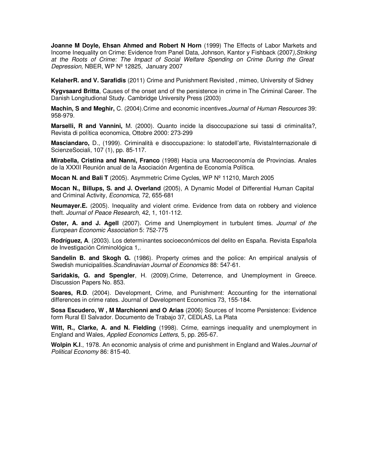**Joanne M Doyle, Ehsan Ahmed and Robert N Horn** (1999) The Effects of Labor Markets and Income Inequality on Crime: Evidence from Panel Data, Johnson, Kantor y Fishback (2007),Striking at the Roots of Crime: The Impact of Social Welfare Spending on Crime During the Great Depression, NBER, WP Nº 12825, January 2007

**KelaherR. and V. Sarafidis** (2011) Crime and Punishment Revisited , mimeo, University of Sidney

**Kygvsaard Britta**, Causes of the onset and of the persistence in crime in The Criminal Career. The Danish Longitudional Study. Cambridge University Press (2003)

**Machin, S and Meghir,** C. (2004).Crime and economic incentives.Journal of Human Resources 39: 958-979.

**Marselli, R and Vannini,** M. (2000). Quanto incide la disoccupazione sui tassi di criminalita?, Revista di política economica, Ottobre 2000: 273-299

**Masciandaro,** D., (1999). Criminalità e disoccupazione: lo statodell'arte, RivistaInternazionale di ScienzeSociali, 107 (1), pp. 85-117.

**Mirabella, Cristina and Nanni, Franco** (1998) Hacia una Macroeconomía de Provincias. Anales de la XXXII Reunión anual de la Asociación Argentina de Economía Política.

**Mocan N. and Bali T** (2005). Asymmetric Crime Cycles, WP Nº 11210, March 2005

**Mocan N., Billups, S. and J. Overland** (2005), A Dynamic Model of Differential Human Capital and Criminal Activity, Economica, 72, 655-681

**Neumayer.E.** (2005). Inequality and violent crime. Evidence from data on robbery and violence theft. Journal of Peace Research, 42, 1, 101-112.

**Oster, A. and J. Agell** (2007). Crime and Unemployment in turbulent times. Journal of the European Economic Association 5: 752-775

**Rodríguez, A**. (2003). Los determinantes socioeconómicos del delito en España. Revista Española de Investigación Criminológica 1,.

**Sandelin B. and Skogh G.** (1986). Property crimes and the police: An empirical analysis of Swedish municipalities.Scandinavian Journal of Economics 88: 547-61.

**Saridakis, G. and Spengler**, H. (2009).Crime, Deterrence, and Unemployment in Greece. Discussion Papers No. 853.

**Soares, R.D.** (2004). Development, Crime, and Punishment: Accounting for the international differences in crime rates. Journal of Development Economics 73, 155-184.

**Sosa Escudero, W , M Marchionni and O Arias** (2006) Sources of Income Persistence: Evidence form Rural El Salvador. Documento de Trabajo 37, CEDLAS, La Plata

**Witt, R., Clarke, A. and N. Fielding** (1998). Crime, earnings inequality and unemployment in England and Wales, Applied Economics Letters, 5, pp. 265-67.

**Wolpin K.I**., 1978. An economic analysis of crime and punishment in England and Wales.Journal of Political Economy 86: 815-40.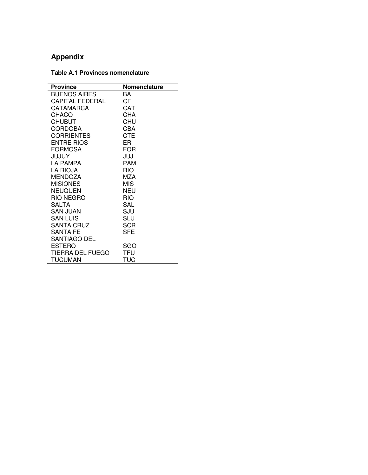# **Appendix**

## **Table A.1 Provinces nomenclature**

| <b>Province</b>         | Nomenclature |
|-------------------------|--------------|
| <b>BUENOS AIRES</b>     | BA           |
| CAPITAL FEDERAL         | CF           |
| CATAMARCA               | CAT          |
| CHACO                   | CHA          |
| <b>CHUBUT</b>           | CHU          |
| <b>CORDOBA</b>          | CBA          |
| <b>CORRIENTES</b>       | <b>CTE</b>   |
| <b>ENTRE RIOS</b>       | ER           |
| <b>FORMOSA</b>          | <b>FOR</b>   |
| <b>JUJUY</b>            | JUJ          |
| <b>LA PAMPA</b>         | PAM          |
| <b>LA RIOJA</b>         | RIO          |
| <b>MENDOZA</b>          | MZA          |
| <b>MISIONES</b>         | <b>MIS</b>   |
| <b>NEUQUEN</b>          | NEU          |
| RIO NEGRO               | RIO          |
| SALTA                   | SAL          |
| SAN JUAN                | SJU          |
| <b>SAN LUIS</b>         | SLU          |
| <b>SANTA CRUZ</b>       | <b>SCR</b>   |
| SANTA FE                | SFE          |
| SANTIAGO DEL            |              |
| <b>ESTERO</b>           | SGO          |
| <b>TIERRA DEL FUEGO</b> | TFU          |
| <b>TUCUMAN</b>          | TUC          |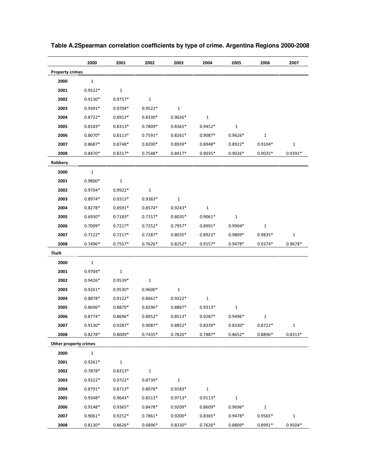|                        | 2000         | 2001         | 2002         | 2003         | 2004         | 2005         | 2006         | 2007        |
|------------------------|--------------|--------------|--------------|--------------|--------------|--------------|--------------|-------------|
| <b>Property crimes</b> |              |              |              |              |              |              |              |             |
| 2000                   | $\mathbf{1}$ |              |              |              |              |              |              |             |
| 2001                   | $0.9522*$    | $\mathbf{1}$ |              |              |              |              |              |             |
| 2002                   | $0.9130*$    | $0.9757*$    | $\mathbf{1}$ |              |              |              |              |             |
| 2003                   | $0.9391*$    | $0.9704*$    | $0.9522*$    | $1\,$        |              |              |              |             |
| 2004                   | $0.8722*$    | $0.8913*$    | $0.8330*$    | $0.9026*$    | $\mathbf{1}$ |              |              |             |
| 2005                   | $0.8183*$    | $0.8313*$    | $0.7809*$    | $0.8365*$    | $0.9452*$    | $\mathbf{1}$ |              |             |
| 2006                   | $0.8070*$    | $0.8113*$    | $0.7591*$    | $0.8261*$    | $0.9087*$    | $0.9626*$    | $\mathbf{1}$ |             |
| 2007                   | $0.8687*$    | $0.8748*$    | $0.8200*$    | $0.8939*$    | $0.8948*$    | $0.8922*$    | $0.9104*$    | $\mathbf 1$ |
| 2008                   | $0.8470*$    | $0.8217*$    | $0.7548*$    | $0.8417*$    | $0.9035*$    | $0.9026*$    | $0.9035*$    | $0.9391*$   |
| Robbery                |              |              |              |              |              |              |              |             |
| 2000                   | $\mathbf{1}$ |              |              |              |              |              |              |             |
| 2001                   | 0.9800*      | $\mathbf{1}$ |              |              |              |              |              |             |
| 2002                   | $0.9704*$    | $0.9922*$    | $\mathbf{1}$ |              |              |              |              |             |
| 2003                   | $0.8974*$    | $0.9313*$    | 0.9383*      | $\mathbf{1}$ |              |              |              |             |
| 2004                   | $0.8278*$    | $0.8591*$    | $0.8574*$    | $0.9243*$    | $\mathbf{1}$ |              |              |             |
| 2005                   | $0.6930*$    | $0.7183*$    | $0.7157*$    | $0.8035*$    | $0.9061*$    | $\mathbf{1}$ |              |             |
| 2006                   | $0.7009*$    | $0.7217*$    | $0.7252*$    | $0.7957*$    | $0.8991*$    | $0.9904*$    | $\mathbf{1}$ |             |
| 2007                   | $0.7122*$    | $0.7217*$    | $0.7287*$    | $0.8035*$    | $0.8922*$    | $0.9809*$    | 0.9835*      | $\mathbf 1$ |
| 2008                   | $0.7496*$    | $0.7557*$    | $0.7626*$    | $0.8252*$    | $0.9157*$    | $0.9478*$    | $0.9374*$    | $0.9678*$   |
| Theft                  |              |              |              |              |              |              |              |             |
| 2000                   | $\mathbf{1}$ |              |              |              |              |              |              |             |
| 2001                   | $0.9704*$    | $\mathbf{1}$ |              |              |              |              |              |             |
| 2002                   | $0.9426*$    | $0.9539*$    | $\mathbf{1}$ |              |              |              |              |             |
| 2003                   | $0.9261*$    | $0.9530*$    | $0.9600*$    | $\mathbf{1}$ |              |              |              |             |
| 2004                   | $0.8878*$    | $0.9122*$    | $0.8661*$    | $0.9322*$    | $\mathbf{1}$ |              |              |             |
| 2005                   | $0.8696*$    | $0.8870*$    | $0.8296*$    | $0.8887*$    | $0.9313*$    | $\mathbf{1}$ |              |             |
| 2006                   | $0.8774*$    | 0.8696*      | $0.8052*$    | $0.8513*$    | $0.9287*$    | $0.9496*$    | $\mathbf{1}$ |             |
| 2007                   | $0.9130*$    | 0.9287*      | 0.9087*      | 0.8852*      | 0.8339*      | $0.8330*$    | $0.8722*$    |             |
| 2008                   | $0.8278*$    | $0.8009*$    | $0.7435*$    | $0.7826*$    | $0.7887*$    | $0.8652*$    | $0.8896*$    | $0.8313*$   |
| Other property crimes  |              |              |              |              |              |              |              |             |
| 2000                   | $\mathbf{1}$ |              |              |              |              |              |              |             |
| 2001                   | $0.9261*$    | $\mathbf{1}$ |              |              |              |              |              |             |
| 2002                   | 0.7878*      | $0.8313*$    | $\mathbf{1}$ |              |              |              |              |             |
| 2003                   | $0.9322*$    | $0.9722*$    | $0.8739*$    | $\mathbf{1}$ |              |              |              |             |
| 2004                   | $0.8791*$    | $0.8713*$    | $0.8078*$    | $0.9183*$    | $\mathbf{1}$ |              |              |             |
| 2005                   | 0.9348*      | $0.9643*$    | $0.8513*$    | $0.9713*$    | $0.9113*$    | $\mathbf{1}$ |              |             |
| 2006                   | $0.9148*$    | 0.9365*      | $0.8478*$    | 0.9209*      | $0.8609*$    | 0.9696*      | $\mathbf{1}$ |             |
| 2007                   | $0.9061*$    | $0.9252*$    | $0.7861*$    | $0.9200*$    | $0.8365*$    | 0.9478*      | $0.9565*$    | $\mathbf 1$ |
| 2008                   | $0.8130*$    | $0.8626*$    | $0.6896*$    | $0.8330*$    | $0.7626*$    | $0.8809*$    | $0.8991*$    | $0.9504*$   |

**Table A.2Spearman correlation coefficients by type of crime. Argentina Regions 2000-2008**